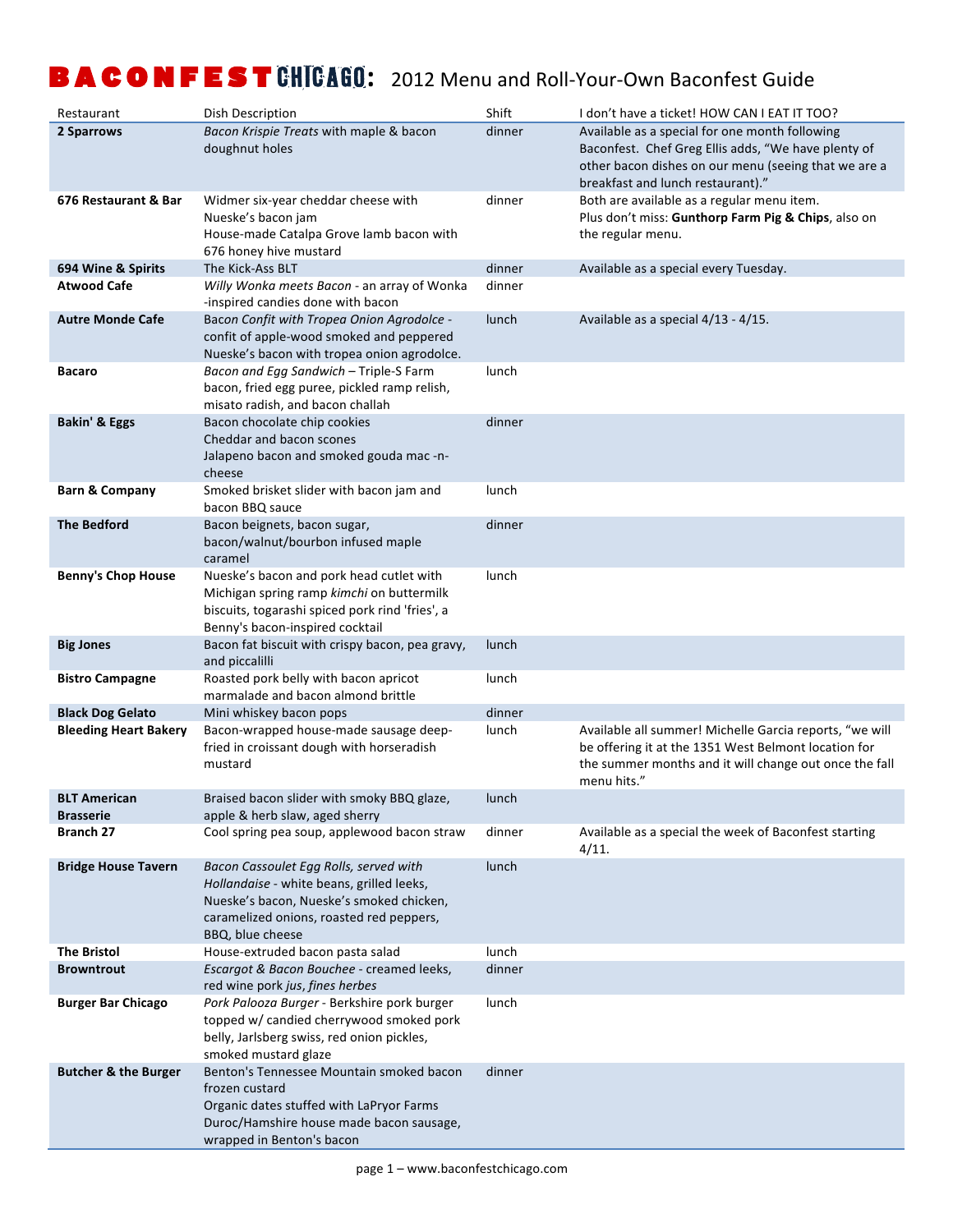| Restaurant                              | Dish Description                                                                                                                                                                                | Shift  | I don't have a ticket! HOW CAN I EAT IT TOO?                                                                                                                                                       |
|-----------------------------------------|-------------------------------------------------------------------------------------------------------------------------------------------------------------------------------------------------|--------|----------------------------------------------------------------------------------------------------------------------------------------------------------------------------------------------------|
| 2 Sparrows                              | Bacon Krispie Treats with maple & bacon<br>doughnut holes                                                                                                                                       | dinner | Available as a special for one month following<br>Baconfest. Chef Greg Ellis adds, "We have plenty of<br>other bacon dishes on our menu (seeing that we are a<br>breakfast and lunch restaurant)." |
| 676 Restaurant & Bar                    | Widmer six-year cheddar cheese with<br>Nueske's bacon jam<br>House-made Catalpa Grove lamb bacon with<br>676 honey hive mustard                                                                 | dinner | Both are available as a regular menu item.<br>Plus don't miss: Gunthorp Farm Pig & Chips, also on<br>the regular menu.                                                                             |
| 694 Wine & Spirits                      | The Kick-Ass BLT                                                                                                                                                                                | dinner | Available as a special every Tuesday.                                                                                                                                                              |
| <b>Atwood Cafe</b>                      | Willy Wonka meets Bacon - an array of Wonka<br>-inspired candies done with bacon                                                                                                                | dinner |                                                                                                                                                                                                    |
| <b>Autre Monde Cafe</b>                 | Bacon Confit with Tropea Onion Agrodolce -<br>confit of apple-wood smoked and peppered<br>Nueske's bacon with tropea onion agrodolce.                                                           | lunch  | Available as a special 4/13 - 4/15.                                                                                                                                                                |
| <b>Bacaro</b>                           | Bacon and Egg Sandwich - Triple-S Farm<br>bacon, fried egg puree, pickled ramp relish,<br>misato radish, and bacon challah                                                                      | lunch  |                                                                                                                                                                                                    |
| <b>Bakin' &amp; Eggs</b>                | Bacon chocolate chip cookies<br>Cheddar and bacon scones<br>Jalapeno bacon and smoked gouda mac -n-<br>cheese                                                                                   | dinner |                                                                                                                                                                                                    |
| <b>Barn &amp; Company</b>               | Smoked brisket slider with bacon jam and<br>bacon BBQ sauce                                                                                                                                     | lunch  |                                                                                                                                                                                                    |
| <b>The Bedford</b>                      | Bacon beignets, bacon sugar,<br>bacon/walnut/bourbon infused maple<br>caramel                                                                                                                   | dinner |                                                                                                                                                                                                    |
| <b>Benny's Chop House</b>               | Nueske's bacon and pork head cutlet with<br>Michigan spring ramp kimchi on buttermilk<br>biscuits, togarashi spiced pork rind 'fries', a<br>Benny's bacon-inspired cocktail                     | lunch  |                                                                                                                                                                                                    |
| <b>Big Jones</b>                        | Bacon fat biscuit with crispy bacon, pea gravy,<br>and piccalilli                                                                                                                               | lunch  |                                                                                                                                                                                                    |
| <b>Bistro Campagne</b>                  | Roasted pork belly with bacon apricot<br>marmalade and bacon almond brittle                                                                                                                     | lunch  |                                                                                                                                                                                                    |
| <b>Black Dog Gelato</b>                 | Mini whiskey bacon pops                                                                                                                                                                         | dinner |                                                                                                                                                                                                    |
| <b>Bleeding Heart Bakery</b>            | Bacon-wrapped house-made sausage deep-<br>fried in croissant dough with horseradish<br>mustard                                                                                                  | lunch  | Available all summer! Michelle Garcia reports, "we will<br>be offering it at the 1351 West Belmont location for<br>the summer months and it will change out once the fall<br>menu hits."           |
| <b>BLT American</b><br><b>Brasserie</b> | Braised bacon slider with smoky BBQ glaze,<br>apple & herb slaw, aged sherry                                                                                                                    | lunch  |                                                                                                                                                                                                    |
| <b>Branch 27</b>                        | Cool spring pea soup, applewood bacon straw                                                                                                                                                     | dinner | Available as a special the week of Baconfest starting<br>4/11.                                                                                                                                     |
| <b>Bridge House Tavern</b>              | Bacon Cassoulet Egg Rolls, served with<br>Hollandaise - white beans, grilled leeks,<br>Nueske's bacon, Nueske's smoked chicken,<br>caramelized onions, roasted red peppers,<br>BBQ, blue cheese | lunch  |                                                                                                                                                                                                    |
| <b>The Bristol</b>                      | House-extruded bacon pasta salad                                                                                                                                                                | lunch  |                                                                                                                                                                                                    |
| <b>Browntrout</b>                       | Escargot & Bacon Bouchee - creamed leeks,<br>red wine pork jus, fines herbes                                                                                                                    | dinner |                                                                                                                                                                                                    |
| <b>Burger Bar Chicago</b>               | Pork Palooza Burger - Berkshire pork burger<br>topped w/ candied cherrywood smoked pork<br>belly, Jarlsberg swiss, red onion pickles,<br>smoked mustard glaze                                   | lunch  |                                                                                                                                                                                                    |
| <b>Butcher &amp; the Burger</b>         | Benton's Tennessee Mountain smoked bacon<br>frozen custard<br>Organic dates stuffed with LaPryor Farms<br>Duroc/Hamshire house made bacon sausage,<br>wrapped in Benton's bacon                 | dinner |                                                                                                                                                                                                    |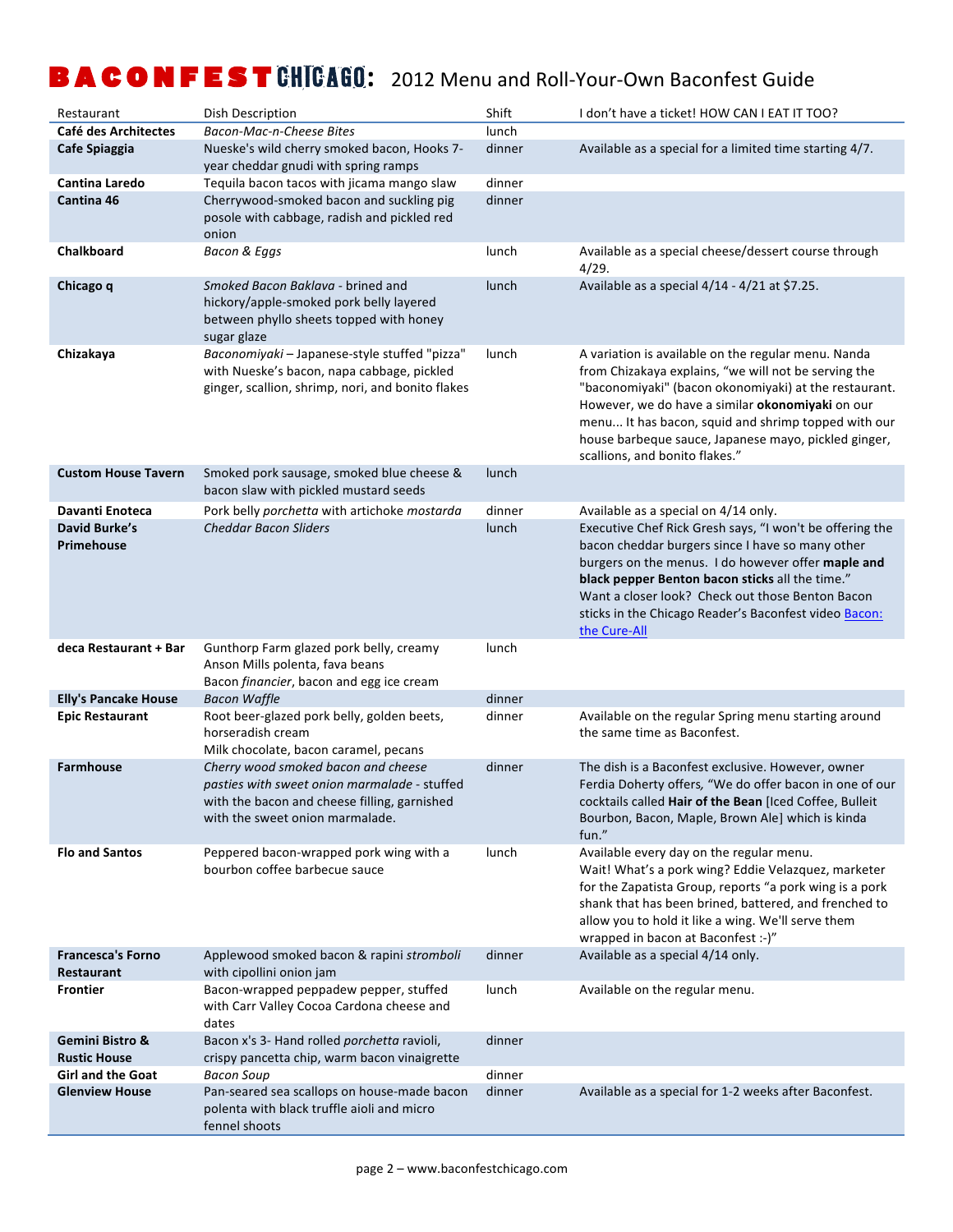| Café des Architectes<br>Bacon-Mac-n-Cheese Bites<br>lunch<br>Nueske's wild cherry smoked bacon, Hooks 7-<br>dinner<br>Available as a special for a limited time starting 4/7.<br>Cafe Spiaggia<br>year cheddar gnudi with spring ramps<br><b>Cantina Laredo</b><br>Tequila bacon tacos with jicama mango slaw<br>dinner<br>Cherrywood-smoked bacon and suckling pig<br>Cantina 46<br>dinner<br>posole with cabbage, radish and pickled red<br>onion<br>Chalkboard<br>lunch<br>Available as a special cheese/dessert course through<br>Bacon & Eggs<br>4/29.<br>Smoked Bacon Baklava - brined and<br>Available as a special 4/14 - 4/21 at \$7.25.<br>Chicago q<br>lunch<br>hickory/apple-smoked pork belly layered<br>between phyllo sheets topped with honey<br>sugar glaze<br>Chizakaya<br>Baconomiyaki - Japanese-style stuffed "pizza"<br>lunch<br>A variation is available on the regular menu. Nanda<br>with Nueske's bacon, napa cabbage, pickled<br>from Chizakaya explains, "we will not be serving the<br>"baconomiyaki" (bacon okonomiyaki) at the restaurant.<br>ginger, scallion, shrimp, nori, and bonito flakes<br>However, we do have a similar okonomiyaki on our<br>menu It has bacon, squid and shrimp topped with our<br>house barbeque sauce, Japanese mayo, pickled ginger,<br>scallions, and bonito flakes."<br><b>Custom House Tavern</b><br>Smoked pork sausage, smoked blue cheese &<br>lunch<br>bacon slaw with pickled mustard seeds<br>Pork belly porchetta with artichoke mostarda<br>Davanti Enoteca<br>dinner<br>Available as a special on 4/14 only.<br>David Burke's<br><b>Cheddar Bacon Sliders</b><br>Executive Chef Rick Gresh says, "I won't be offering the<br>lunch<br>Primehouse<br>bacon cheddar burgers since I have so many other<br>burgers on the menus. I do however offer maple and<br>black pepper Benton bacon sticks all the time."<br>Want a closer look? Check out those Benton Bacon<br>sticks in the Chicago Reader's Baconfest video Bacon:<br>the Cure-All<br>deca Restaurant + Bar<br>Gunthorp Farm glazed pork belly, creamy<br>lunch<br>Anson Mills polenta, fava beans<br>Bacon financier, bacon and egg ice cream<br><b>Elly's Pancake House</b><br><b>Bacon Waffle</b><br>dinner<br>Root beer-glazed pork belly, golden beets,<br>Available on the regular Spring menu starting around<br><b>Epic Restaurant</b><br>dinner<br>horseradish cream<br>the same time as Baconfest.<br>Milk chocolate, bacon caramel, pecans<br><b>Farmhouse</b><br>Cherry wood smoked bacon and cheese<br>dinner<br>The dish is a Baconfest exclusive. However, owner<br>Ferdia Doherty offers, "We do offer bacon in one of our<br>pasties with sweet onion marmalade - stuffed<br>cocktails called Hair of the Bean [Iced Coffee, Bulleit<br>with the bacon and cheese filling, garnished<br>Bourbon, Bacon, Maple, Brown Ale] which is kinda<br>with the sweet onion marmalade.<br>fun."<br><b>Flo and Santos</b><br>Peppered bacon-wrapped pork wing with a<br>lunch<br>Available every day on the regular menu.<br>bourbon coffee barbecue sauce<br>Wait! What's a pork wing? Eddie Velazquez, marketer<br>for the Zapatista Group, reports "a pork wing is a pork<br>shank that has been brined, battered, and frenched to<br>allow you to hold it like a wing. We'll serve them<br>wrapped in bacon at Baconfest :-)"<br><b>Francesca's Forno</b><br>Applewood smoked bacon & rapini stromboli<br>dinner<br>Available as a special 4/14 only.<br>Restaurant<br>with cipollini onion jam<br><b>Frontier</b><br>Bacon-wrapped peppadew pepper, stuffed<br>Available on the regular menu.<br>lunch<br>with Carr Valley Cocoa Cardona cheese and<br>dates<br>Bacon x's 3- Hand rolled porchetta ravioli,<br>Gemini Bistro &<br>dinner<br><b>Rustic House</b><br>crispy pancetta chip, warm bacon vinaigrette<br><b>Girl and the Goat</b><br><b>Bacon Soup</b><br>dinner<br><b>Glenview House</b><br>Pan-seared sea scallops on house-made bacon<br>dinner<br>Available as a special for 1-2 weeks after Baconfest.<br>polenta with black truffle aioli and micro<br>fennel shoots | Restaurant | Dish Description | Shift | I don't have a ticket! HOW CAN I EAT IT TOO? |
|---------------------------------------------------------------------------------------------------------------------------------------------------------------------------------------------------------------------------------------------------------------------------------------------------------------------------------------------------------------------------------------------------------------------------------------------------------------------------------------------------------------------------------------------------------------------------------------------------------------------------------------------------------------------------------------------------------------------------------------------------------------------------------------------------------------------------------------------------------------------------------------------------------------------------------------------------------------------------------------------------------------------------------------------------------------------------------------------------------------------------------------------------------------------------------------------------------------------------------------------------------------------------------------------------------------------------------------------------------------------------------------------------------------------------------------------------------------------------------------------------------------------------------------------------------------------------------------------------------------------------------------------------------------------------------------------------------------------------------------------------------------------------------------------------------------------------------------------------------------------------------------------------------------------------------------------------------------------------------------------------------------------------------------------------------------------------------------------------------------------------------------------------------------------------------------------------------------------------------------------------------------------------------------------------------------------------------------------------------------------------------------------------------------------------------------------------------------------------------------------------------------------------------------------------------------------------------------------------------------------------------------------------------------------------------------------------------------------------------------------------------------------------------------------------------------------------------------------------------------------------------------------------------------------------------------------------------------------------------------------------------------------------------------------------------------------------------------------------------------------------------------------------------------------------------------------------------------------------------------------------------------------------------------------------------------------------------------------------------------------------------------------------------------------------------------------------------------------------------------------------------------------------------------------------------------------------------------------------------------------------------------------------------------------------------------------------------------------------------------------------------------------------------------------------------------------------------------------------------------------------------------------------------------------------------------------------------------------------------------------------------------------------------------------------------------------------------------------------------------------------------|------------|------------------|-------|----------------------------------------------|
|                                                                                                                                                                                                                                                                                                                                                                                                                                                                                                                                                                                                                                                                                                                                                                                                                                                                                                                                                                                                                                                                                                                                                                                                                                                                                                                                                                                                                                                                                                                                                                                                                                                                                                                                                                                                                                                                                                                                                                                                                                                                                                                                                                                                                                                                                                                                                                                                                                                                                                                                                                                                                                                                                                                                                                                                                                                                                                                                                                                                                                                                                                                                                                                                                                                                                                                                                                                                                                                                                                                                                                                                                                                                                                                                                                                                                                                                                                                                                                                                                                                                                                                                 |            |                  |       |                                              |
|                                                                                                                                                                                                                                                                                                                                                                                                                                                                                                                                                                                                                                                                                                                                                                                                                                                                                                                                                                                                                                                                                                                                                                                                                                                                                                                                                                                                                                                                                                                                                                                                                                                                                                                                                                                                                                                                                                                                                                                                                                                                                                                                                                                                                                                                                                                                                                                                                                                                                                                                                                                                                                                                                                                                                                                                                                                                                                                                                                                                                                                                                                                                                                                                                                                                                                                                                                                                                                                                                                                                                                                                                                                                                                                                                                                                                                                                                                                                                                                                                                                                                                                                 |            |                  |       |                                              |
|                                                                                                                                                                                                                                                                                                                                                                                                                                                                                                                                                                                                                                                                                                                                                                                                                                                                                                                                                                                                                                                                                                                                                                                                                                                                                                                                                                                                                                                                                                                                                                                                                                                                                                                                                                                                                                                                                                                                                                                                                                                                                                                                                                                                                                                                                                                                                                                                                                                                                                                                                                                                                                                                                                                                                                                                                                                                                                                                                                                                                                                                                                                                                                                                                                                                                                                                                                                                                                                                                                                                                                                                                                                                                                                                                                                                                                                                                                                                                                                                                                                                                                                                 |            |                  |       |                                              |
|                                                                                                                                                                                                                                                                                                                                                                                                                                                                                                                                                                                                                                                                                                                                                                                                                                                                                                                                                                                                                                                                                                                                                                                                                                                                                                                                                                                                                                                                                                                                                                                                                                                                                                                                                                                                                                                                                                                                                                                                                                                                                                                                                                                                                                                                                                                                                                                                                                                                                                                                                                                                                                                                                                                                                                                                                                                                                                                                                                                                                                                                                                                                                                                                                                                                                                                                                                                                                                                                                                                                                                                                                                                                                                                                                                                                                                                                                                                                                                                                                                                                                                                                 |            |                  |       |                                              |
|                                                                                                                                                                                                                                                                                                                                                                                                                                                                                                                                                                                                                                                                                                                                                                                                                                                                                                                                                                                                                                                                                                                                                                                                                                                                                                                                                                                                                                                                                                                                                                                                                                                                                                                                                                                                                                                                                                                                                                                                                                                                                                                                                                                                                                                                                                                                                                                                                                                                                                                                                                                                                                                                                                                                                                                                                                                                                                                                                                                                                                                                                                                                                                                                                                                                                                                                                                                                                                                                                                                                                                                                                                                                                                                                                                                                                                                                                                                                                                                                                                                                                                                                 |            |                  |       |                                              |
|                                                                                                                                                                                                                                                                                                                                                                                                                                                                                                                                                                                                                                                                                                                                                                                                                                                                                                                                                                                                                                                                                                                                                                                                                                                                                                                                                                                                                                                                                                                                                                                                                                                                                                                                                                                                                                                                                                                                                                                                                                                                                                                                                                                                                                                                                                                                                                                                                                                                                                                                                                                                                                                                                                                                                                                                                                                                                                                                                                                                                                                                                                                                                                                                                                                                                                                                                                                                                                                                                                                                                                                                                                                                                                                                                                                                                                                                                                                                                                                                                                                                                                                                 |            |                  |       |                                              |
|                                                                                                                                                                                                                                                                                                                                                                                                                                                                                                                                                                                                                                                                                                                                                                                                                                                                                                                                                                                                                                                                                                                                                                                                                                                                                                                                                                                                                                                                                                                                                                                                                                                                                                                                                                                                                                                                                                                                                                                                                                                                                                                                                                                                                                                                                                                                                                                                                                                                                                                                                                                                                                                                                                                                                                                                                                                                                                                                                                                                                                                                                                                                                                                                                                                                                                                                                                                                                                                                                                                                                                                                                                                                                                                                                                                                                                                                                                                                                                                                                                                                                                                                 |            |                  |       |                                              |
|                                                                                                                                                                                                                                                                                                                                                                                                                                                                                                                                                                                                                                                                                                                                                                                                                                                                                                                                                                                                                                                                                                                                                                                                                                                                                                                                                                                                                                                                                                                                                                                                                                                                                                                                                                                                                                                                                                                                                                                                                                                                                                                                                                                                                                                                                                                                                                                                                                                                                                                                                                                                                                                                                                                                                                                                                                                                                                                                                                                                                                                                                                                                                                                                                                                                                                                                                                                                                                                                                                                                                                                                                                                                                                                                                                                                                                                                                                                                                                                                                                                                                                                                 |            |                  |       |                                              |
|                                                                                                                                                                                                                                                                                                                                                                                                                                                                                                                                                                                                                                                                                                                                                                                                                                                                                                                                                                                                                                                                                                                                                                                                                                                                                                                                                                                                                                                                                                                                                                                                                                                                                                                                                                                                                                                                                                                                                                                                                                                                                                                                                                                                                                                                                                                                                                                                                                                                                                                                                                                                                                                                                                                                                                                                                                                                                                                                                                                                                                                                                                                                                                                                                                                                                                                                                                                                                                                                                                                                                                                                                                                                                                                                                                                                                                                                                                                                                                                                                                                                                                                                 |            |                  |       |                                              |
|                                                                                                                                                                                                                                                                                                                                                                                                                                                                                                                                                                                                                                                                                                                                                                                                                                                                                                                                                                                                                                                                                                                                                                                                                                                                                                                                                                                                                                                                                                                                                                                                                                                                                                                                                                                                                                                                                                                                                                                                                                                                                                                                                                                                                                                                                                                                                                                                                                                                                                                                                                                                                                                                                                                                                                                                                                                                                                                                                                                                                                                                                                                                                                                                                                                                                                                                                                                                                                                                                                                                                                                                                                                                                                                                                                                                                                                                                                                                                                                                                                                                                                                                 |            |                  |       |                                              |
|                                                                                                                                                                                                                                                                                                                                                                                                                                                                                                                                                                                                                                                                                                                                                                                                                                                                                                                                                                                                                                                                                                                                                                                                                                                                                                                                                                                                                                                                                                                                                                                                                                                                                                                                                                                                                                                                                                                                                                                                                                                                                                                                                                                                                                                                                                                                                                                                                                                                                                                                                                                                                                                                                                                                                                                                                                                                                                                                                                                                                                                                                                                                                                                                                                                                                                                                                                                                                                                                                                                                                                                                                                                                                                                                                                                                                                                                                                                                                                                                                                                                                                                                 |            |                  |       |                                              |
|                                                                                                                                                                                                                                                                                                                                                                                                                                                                                                                                                                                                                                                                                                                                                                                                                                                                                                                                                                                                                                                                                                                                                                                                                                                                                                                                                                                                                                                                                                                                                                                                                                                                                                                                                                                                                                                                                                                                                                                                                                                                                                                                                                                                                                                                                                                                                                                                                                                                                                                                                                                                                                                                                                                                                                                                                                                                                                                                                                                                                                                                                                                                                                                                                                                                                                                                                                                                                                                                                                                                                                                                                                                                                                                                                                                                                                                                                                                                                                                                                                                                                                                                 |            |                  |       |                                              |
|                                                                                                                                                                                                                                                                                                                                                                                                                                                                                                                                                                                                                                                                                                                                                                                                                                                                                                                                                                                                                                                                                                                                                                                                                                                                                                                                                                                                                                                                                                                                                                                                                                                                                                                                                                                                                                                                                                                                                                                                                                                                                                                                                                                                                                                                                                                                                                                                                                                                                                                                                                                                                                                                                                                                                                                                                                                                                                                                                                                                                                                                                                                                                                                                                                                                                                                                                                                                                                                                                                                                                                                                                                                                                                                                                                                                                                                                                                                                                                                                                                                                                                                                 |            |                  |       |                                              |
|                                                                                                                                                                                                                                                                                                                                                                                                                                                                                                                                                                                                                                                                                                                                                                                                                                                                                                                                                                                                                                                                                                                                                                                                                                                                                                                                                                                                                                                                                                                                                                                                                                                                                                                                                                                                                                                                                                                                                                                                                                                                                                                                                                                                                                                                                                                                                                                                                                                                                                                                                                                                                                                                                                                                                                                                                                                                                                                                                                                                                                                                                                                                                                                                                                                                                                                                                                                                                                                                                                                                                                                                                                                                                                                                                                                                                                                                                                                                                                                                                                                                                                                                 |            |                  |       |                                              |
|                                                                                                                                                                                                                                                                                                                                                                                                                                                                                                                                                                                                                                                                                                                                                                                                                                                                                                                                                                                                                                                                                                                                                                                                                                                                                                                                                                                                                                                                                                                                                                                                                                                                                                                                                                                                                                                                                                                                                                                                                                                                                                                                                                                                                                                                                                                                                                                                                                                                                                                                                                                                                                                                                                                                                                                                                                                                                                                                                                                                                                                                                                                                                                                                                                                                                                                                                                                                                                                                                                                                                                                                                                                                                                                                                                                                                                                                                                                                                                                                                                                                                                                                 |            |                  |       |                                              |
|                                                                                                                                                                                                                                                                                                                                                                                                                                                                                                                                                                                                                                                                                                                                                                                                                                                                                                                                                                                                                                                                                                                                                                                                                                                                                                                                                                                                                                                                                                                                                                                                                                                                                                                                                                                                                                                                                                                                                                                                                                                                                                                                                                                                                                                                                                                                                                                                                                                                                                                                                                                                                                                                                                                                                                                                                                                                                                                                                                                                                                                                                                                                                                                                                                                                                                                                                                                                                                                                                                                                                                                                                                                                                                                                                                                                                                                                                                                                                                                                                                                                                                                                 |            |                  |       |                                              |
|                                                                                                                                                                                                                                                                                                                                                                                                                                                                                                                                                                                                                                                                                                                                                                                                                                                                                                                                                                                                                                                                                                                                                                                                                                                                                                                                                                                                                                                                                                                                                                                                                                                                                                                                                                                                                                                                                                                                                                                                                                                                                                                                                                                                                                                                                                                                                                                                                                                                                                                                                                                                                                                                                                                                                                                                                                                                                                                                                                                                                                                                                                                                                                                                                                                                                                                                                                                                                                                                                                                                                                                                                                                                                                                                                                                                                                                                                                                                                                                                                                                                                                                                 |            |                  |       |                                              |
|                                                                                                                                                                                                                                                                                                                                                                                                                                                                                                                                                                                                                                                                                                                                                                                                                                                                                                                                                                                                                                                                                                                                                                                                                                                                                                                                                                                                                                                                                                                                                                                                                                                                                                                                                                                                                                                                                                                                                                                                                                                                                                                                                                                                                                                                                                                                                                                                                                                                                                                                                                                                                                                                                                                                                                                                                                                                                                                                                                                                                                                                                                                                                                                                                                                                                                                                                                                                                                                                                                                                                                                                                                                                                                                                                                                                                                                                                                                                                                                                                                                                                                                                 |            |                  |       |                                              |
|                                                                                                                                                                                                                                                                                                                                                                                                                                                                                                                                                                                                                                                                                                                                                                                                                                                                                                                                                                                                                                                                                                                                                                                                                                                                                                                                                                                                                                                                                                                                                                                                                                                                                                                                                                                                                                                                                                                                                                                                                                                                                                                                                                                                                                                                                                                                                                                                                                                                                                                                                                                                                                                                                                                                                                                                                                                                                                                                                                                                                                                                                                                                                                                                                                                                                                                                                                                                                                                                                                                                                                                                                                                                                                                                                                                                                                                                                                                                                                                                                                                                                                                                 |            |                  |       |                                              |
|                                                                                                                                                                                                                                                                                                                                                                                                                                                                                                                                                                                                                                                                                                                                                                                                                                                                                                                                                                                                                                                                                                                                                                                                                                                                                                                                                                                                                                                                                                                                                                                                                                                                                                                                                                                                                                                                                                                                                                                                                                                                                                                                                                                                                                                                                                                                                                                                                                                                                                                                                                                                                                                                                                                                                                                                                                                                                                                                                                                                                                                                                                                                                                                                                                                                                                                                                                                                                                                                                                                                                                                                                                                                                                                                                                                                                                                                                                                                                                                                                                                                                                                                 |            |                  |       |                                              |
|                                                                                                                                                                                                                                                                                                                                                                                                                                                                                                                                                                                                                                                                                                                                                                                                                                                                                                                                                                                                                                                                                                                                                                                                                                                                                                                                                                                                                                                                                                                                                                                                                                                                                                                                                                                                                                                                                                                                                                                                                                                                                                                                                                                                                                                                                                                                                                                                                                                                                                                                                                                                                                                                                                                                                                                                                                                                                                                                                                                                                                                                                                                                                                                                                                                                                                                                                                                                                                                                                                                                                                                                                                                                                                                                                                                                                                                                                                                                                                                                                                                                                                                                 |            |                  |       |                                              |
|                                                                                                                                                                                                                                                                                                                                                                                                                                                                                                                                                                                                                                                                                                                                                                                                                                                                                                                                                                                                                                                                                                                                                                                                                                                                                                                                                                                                                                                                                                                                                                                                                                                                                                                                                                                                                                                                                                                                                                                                                                                                                                                                                                                                                                                                                                                                                                                                                                                                                                                                                                                                                                                                                                                                                                                                                                                                                                                                                                                                                                                                                                                                                                                                                                                                                                                                                                                                                                                                                                                                                                                                                                                                                                                                                                                                                                                                                                                                                                                                                                                                                                                                 |            |                  |       |                                              |
|                                                                                                                                                                                                                                                                                                                                                                                                                                                                                                                                                                                                                                                                                                                                                                                                                                                                                                                                                                                                                                                                                                                                                                                                                                                                                                                                                                                                                                                                                                                                                                                                                                                                                                                                                                                                                                                                                                                                                                                                                                                                                                                                                                                                                                                                                                                                                                                                                                                                                                                                                                                                                                                                                                                                                                                                                                                                                                                                                                                                                                                                                                                                                                                                                                                                                                                                                                                                                                                                                                                                                                                                                                                                                                                                                                                                                                                                                                                                                                                                                                                                                                                                 |            |                  |       |                                              |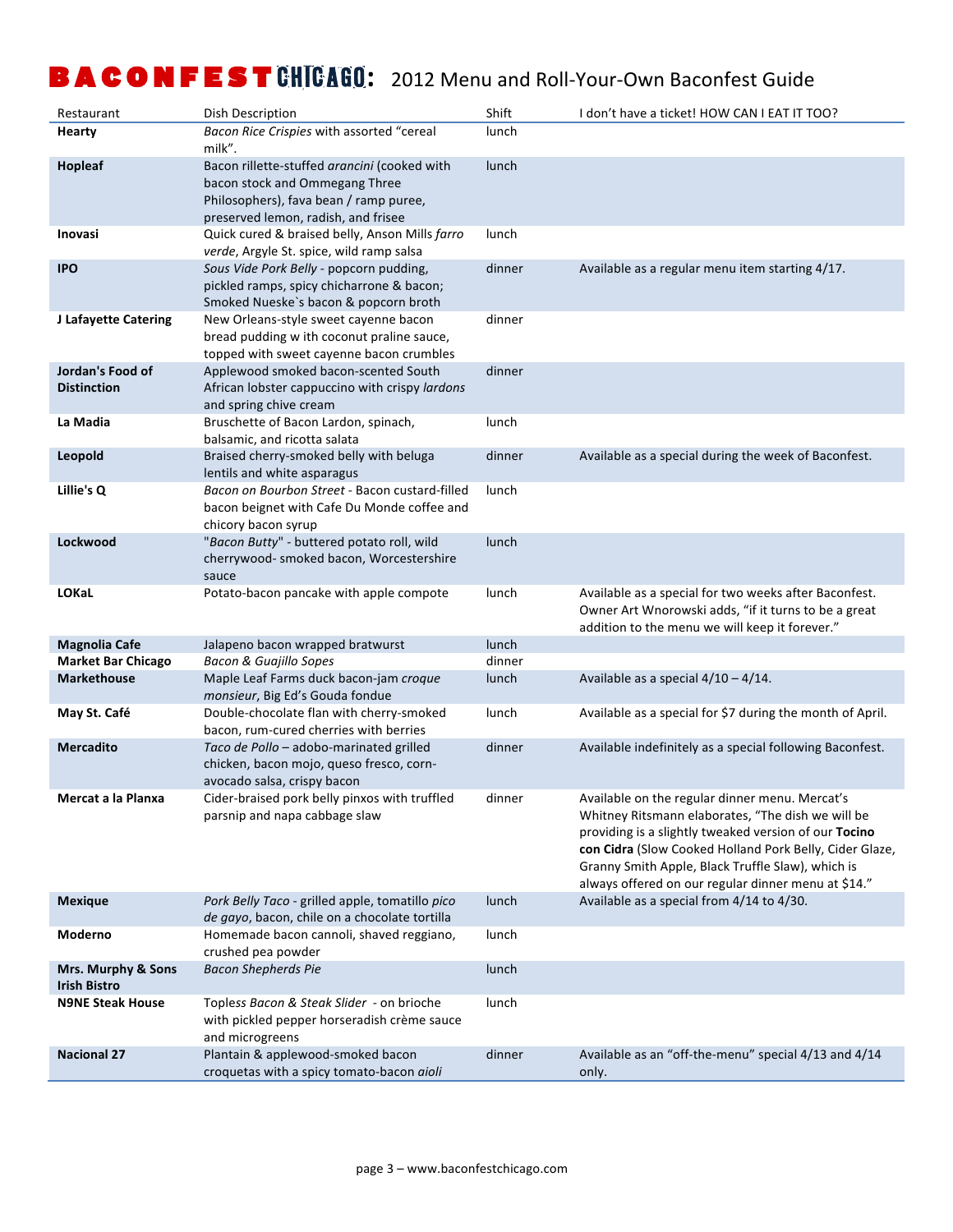| Restaurant                                | Dish Description                                                                                                                                                | Shift  | I don't have a ticket! HOW CAN I EAT IT TOO?                                                                                                                                                                                                                                                                                        |
|-------------------------------------------|-----------------------------------------------------------------------------------------------------------------------------------------------------------------|--------|-------------------------------------------------------------------------------------------------------------------------------------------------------------------------------------------------------------------------------------------------------------------------------------------------------------------------------------|
| Hearty                                    | Bacon Rice Crispies with assorted "cereal<br>milk".                                                                                                             | lunch  |                                                                                                                                                                                                                                                                                                                                     |
| Hopleaf                                   | Bacon rillette-stuffed arancini (cooked with<br>bacon stock and Ommegang Three<br>Philosophers), fava bean / ramp puree,<br>preserved lemon, radish, and frisee | lunch  |                                                                                                                                                                                                                                                                                                                                     |
| Inovasi                                   | Quick cured & braised belly, Anson Mills farro<br>verde, Argyle St. spice, wild ramp salsa                                                                      | lunch  |                                                                                                                                                                                                                                                                                                                                     |
| <b>IPO</b>                                | Sous Vide Pork Belly - popcorn pudding,<br>pickled ramps, spicy chicharrone & bacon;<br>Smoked Nueske's bacon & popcorn broth                                   | dinner | Available as a regular menu item starting 4/17.                                                                                                                                                                                                                                                                                     |
| J Lafayette Catering                      | New Orleans-style sweet cayenne bacon<br>bread pudding w ith coconut praline sauce,<br>topped with sweet cayenne bacon crumbles                                 | dinner |                                                                                                                                                                                                                                                                                                                                     |
| Jordan's Food of<br><b>Distinction</b>    | Applewood smoked bacon-scented South<br>African lobster cappuccino with crispy lardons<br>and spring chive cream                                                | dinner |                                                                                                                                                                                                                                                                                                                                     |
| La Madia                                  | Bruschette of Bacon Lardon, spinach,<br>balsamic, and ricotta salata                                                                                            | lunch  |                                                                                                                                                                                                                                                                                                                                     |
| Leopold                                   | Braised cherry-smoked belly with beluga<br>lentils and white asparagus                                                                                          | dinner | Available as a special during the week of Baconfest.                                                                                                                                                                                                                                                                                |
| Lillie's Q                                | Bacon on Bourbon Street - Bacon custard-filled<br>bacon beignet with Cafe Du Monde coffee and<br>chicory bacon syrup                                            | lunch  |                                                                                                                                                                                                                                                                                                                                     |
| Lockwood                                  | "Bacon Butty" - buttered potato roll, wild<br>cherrywood- smoked bacon, Worcestershire<br>sauce                                                                 | lunch  |                                                                                                                                                                                                                                                                                                                                     |
| <b>LOKaL</b>                              | Potato-bacon pancake with apple compote                                                                                                                         | lunch  | Available as a special for two weeks after Baconfest.<br>Owner Art Wnorowski adds, "if it turns to be a great<br>addition to the menu we will keep it forever."                                                                                                                                                                     |
| <b>Magnolia Cafe</b>                      | Jalapeno bacon wrapped bratwurst                                                                                                                                | lunch  |                                                                                                                                                                                                                                                                                                                                     |
| <b>Market Bar Chicago</b>                 | <b>Bacon &amp; Guajillo Sopes</b>                                                                                                                               | dinner |                                                                                                                                                                                                                                                                                                                                     |
| <b>Markethouse</b>                        | Maple Leaf Farms duck bacon-jam croque<br>monsieur, Big Ed's Gouda fondue                                                                                       | lunch  | Available as a special $4/10 - 4/14$ .                                                                                                                                                                                                                                                                                              |
| May St. Café                              | Double-chocolate flan with cherry-smoked<br>bacon, rum-cured cherries with berries                                                                              | lunch  | Available as a special for \$7 during the month of April.                                                                                                                                                                                                                                                                           |
| <b>Mercadito</b>                          | Taco de Pollo - adobo-marinated grilled<br>chicken, bacon mojo, queso fresco, corn-<br>avocado salsa, crispy bacon                                              | dinner | Available indefinitely as a special following Baconfest.                                                                                                                                                                                                                                                                            |
| Mercat a la Planxa                        | Cider-braised pork belly pinxos with truffled<br>parsnip and napa cabbage slaw                                                                                  | dinner | Available on the regular dinner menu. Mercat's<br>Whitney Ritsmann elaborates, "The dish we will be<br>providing is a slightly tweaked version of our Tocino<br>con Cidra (Slow Cooked Holland Pork Belly, Cider Glaze,<br>Granny Smith Apple, Black Truffle Slaw), which is<br>always offered on our regular dinner menu at \$14." |
| <b>Mexique</b>                            | Pork Belly Taco - grilled apple, tomatillo pico<br>de gayo, bacon, chile on a chocolate tortilla                                                                | lunch  | Available as a special from 4/14 to 4/30.                                                                                                                                                                                                                                                                                           |
| Moderno                                   | Homemade bacon cannoli, shaved reggiano,<br>crushed pea powder                                                                                                  | lunch  |                                                                                                                                                                                                                                                                                                                                     |
| Mrs. Murphy & Sons<br><b>Irish Bistro</b> | <b>Bacon Shepherds Pie</b>                                                                                                                                      | lunch  |                                                                                                                                                                                                                                                                                                                                     |
| <b>N9NE Steak House</b>                   | Topless Bacon & Steak Slider - on brioche<br>with pickled pepper horseradish crème sauce<br>and microgreens                                                     | lunch  |                                                                                                                                                                                                                                                                                                                                     |
| <b>Nacional 27</b>                        | Plantain & applewood-smoked bacon<br>croquetas with a spicy tomato-bacon aioli                                                                                  | dinner | Available as an "off-the-menu" special 4/13 and 4/14<br>only.                                                                                                                                                                                                                                                                       |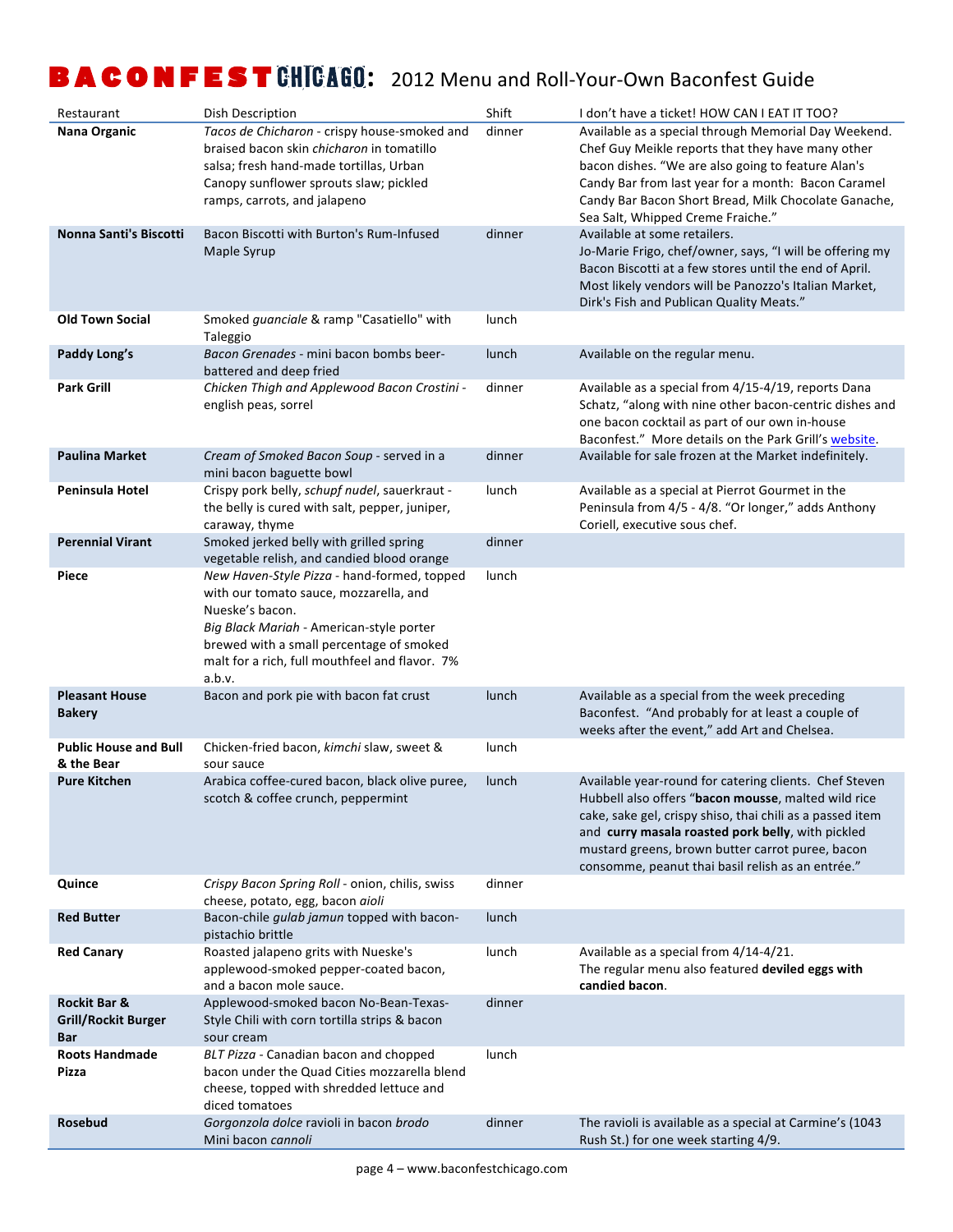| Restaurant                                               | Dish Description                                                                                                                                                                                                                                             | Shift  | I don't have a ticket! HOW CAN I EAT IT TOO?                                                                                                                                                                                                                                                                                             |
|----------------------------------------------------------|--------------------------------------------------------------------------------------------------------------------------------------------------------------------------------------------------------------------------------------------------------------|--------|------------------------------------------------------------------------------------------------------------------------------------------------------------------------------------------------------------------------------------------------------------------------------------------------------------------------------------------|
| Nana Organic                                             | Tacos de Chicharon - crispy house-smoked and<br>braised bacon skin chicharon in tomatillo<br>salsa; fresh hand-made tortillas, Urban<br>Canopy sunflower sprouts slaw; pickled<br>ramps, carrots, and jalapeno                                               | dinner | Available as a special through Memorial Day Weekend.<br>Chef Guy Meikle reports that they have many other<br>bacon dishes. "We are also going to feature Alan's<br>Candy Bar from last year for a month: Bacon Caramel<br>Candy Bar Bacon Short Bread, Milk Chocolate Ganache,<br>Sea Salt, Whipped Creme Fraiche."                      |
| Nonna Santi's Biscotti                                   | Bacon Biscotti with Burton's Rum-Infused<br>Maple Syrup                                                                                                                                                                                                      | dinner | Available at some retailers.<br>Jo-Marie Frigo, chef/owner, says, "I will be offering my<br>Bacon Biscotti at a few stores until the end of April.<br>Most likely vendors will be Panozzo's Italian Market,<br>Dirk's Fish and Publican Quality Meats."                                                                                  |
| <b>Old Town Social</b>                                   | Smoked guanciale & ramp "Casatiello" with<br>Taleggio                                                                                                                                                                                                        | lunch  |                                                                                                                                                                                                                                                                                                                                          |
| Paddy Long's                                             | Bacon Grenades - mini bacon bombs beer-<br>battered and deep fried                                                                                                                                                                                           | lunch  | Available on the regular menu.                                                                                                                                                                                                                                                                                                           |
| <b>Park Grill</b>                                        | Chicken Thigh and Applewood Bacon Crostini -<br>english peas, sorrel                                                                                                                                                                                         | dinner | Available as a special from 4/15-4/19, reports Dana<br>Schatz, "along with nine other bacon-centric dishes and<br>one bacon cocktail as part of our own in-house<br>Baconfest." More details on the Park Grill's website.                                                                                                                |
| <b>Paulina Market</b>                                    | Cream of Smoked Bacon Soup - served in a<br>mini bacon baguette bowl                                                                                                                                                                                         | dinner | Available for sale frozen at the Market indefinitely.                                                                                                                                                                                                                                                                                    |
| <b>Peninsula Hotel</b>                                   | Crispy pork belly, schupf nudel, sauerkraut -<br>the belly is cured with salt, pepper, juniper,<br>caraway, thyme                                                                                                                                            | lunch  | Available as a special at Pierrot Gourmet in the<br>Peninsula from 4/5 - 4/8. "Or longer," adds Anthony<br>Coriell, executive sous chef.                                                                                                                                                                                                 |
| <b>Perennial Virant</b>                                  | Smoked jerked belly with grilled spring<br>vegetable relish, and candied blood orange                                                                                                                                                                        | dinner |                                                                                                                                                                                                                                                                                                                                          |
| Piece                                                    | New Haven-Style Pizza - hand-formed, topped<br>with our tomato sauce, mozzarella, and<br>Nueske's bacon.<br>Big Black Mariah - American-style porter<br>brewed with a small percentage of smoked<br>malt for a rich, full mouthfeel and flavor. 7%<br>a.b.v. | lunch  |                                                                                                                                                                                                                                                                                                                                          |
| <b>Pleasant House</b><br><b>Bakery</b>                   | Bacon and pork pie with bacon fat crust                                                                                                                                                                                                                      | lunch  | Available as a special from the week preceding<br>Baconfest. "And probably for at least a couple of<br>weeks after the event," add Art and Chelsea.                                                                                                                                                                                      |
| <b>Public House and Bull</b><br>& the Bear               | Chicken-fried bacon, kimchi slaw, sweet &<br>sour sauce                                                                                                                                                                                                      | lunch  |                                                                                                                                                                                                                                                                                                                                          |
| <b>Pure Kitchen</b>                                      | Arabica coffee-cured bacon, black olive puree,<br>scotch & coffee crunch, peppermint                                                                                                                                                                         | lunch  | Available year-round for catering clients. Chef Steven<br>Hubbell also offers "bacon mousse, malted wild rice<br>cake, sake gel, crispy shiso, thai chili as a passed item<br>and curry masala roasted pork belly, with pickled<br>mustard greens, brown butter carrot puree, bacon<br>consomme, peanut thai basil relish as an entrée." |
| Quince                                                   | Crispy Bacon Spring Roll - onion, chilis, swiss<br>cheese, potato, egg, bacon aioli                                                                                                                                                                          | dinner |                                                                                                                                                                                                                                                                                                                                          |
| <b>Red Butter</b>                                        | Bacon-chile gulab jamun topped with bacon-<br>pistachio brittle                                                                                                                                                                                              | lunch  |                                                                                                                                                                                                                                                                                                                                          |
| <b>Red Canary</b>                                        | Roasted jalapeno grits with Nueske's<br>applewood-smoked pepper-coated bacon,<br>and a bacon mole sauce.                                                                                                                                                     | lunch  | Available as a special from 4/14-4/21.<br>The regular menu also featured deviled eggs with<br>candied bacon.                                                                                                                                                                                                                             |
| Rockit Bar &<br><b>Grill/Rockit Burger</b><br><b>Bar</b> | Applewood-smoked bacon No-Bean-Texas-<br>Style Chili with corn tortilla strips & bacon<br>sour cream                                                                                                                                                         | dinner |                                                                                                                                                                                                                                                                                                                                          |
| <b>Roots Handmade</b><br>Pizza                           | BLT Pizza - Canadian bacon and chopped<br>bacon under the Quad Cities mozzarella blend<br>cheese, topped with shredded lettuce and<br>diced tomatoes                                                                                                         | lunch  |                                                                                                                                                                                                                                                                                                                                          |
| Rosebud                                                  | Gorgonzola dolce ravioli in bacon brodo<br>Mini bacon cannoli                                                                                                                                                                                                | dinner | The ravioli is available as a special at Carmine's (1043<br>Rush St.) for one week starting 4/9.                                                                                                                                                                                                                                         |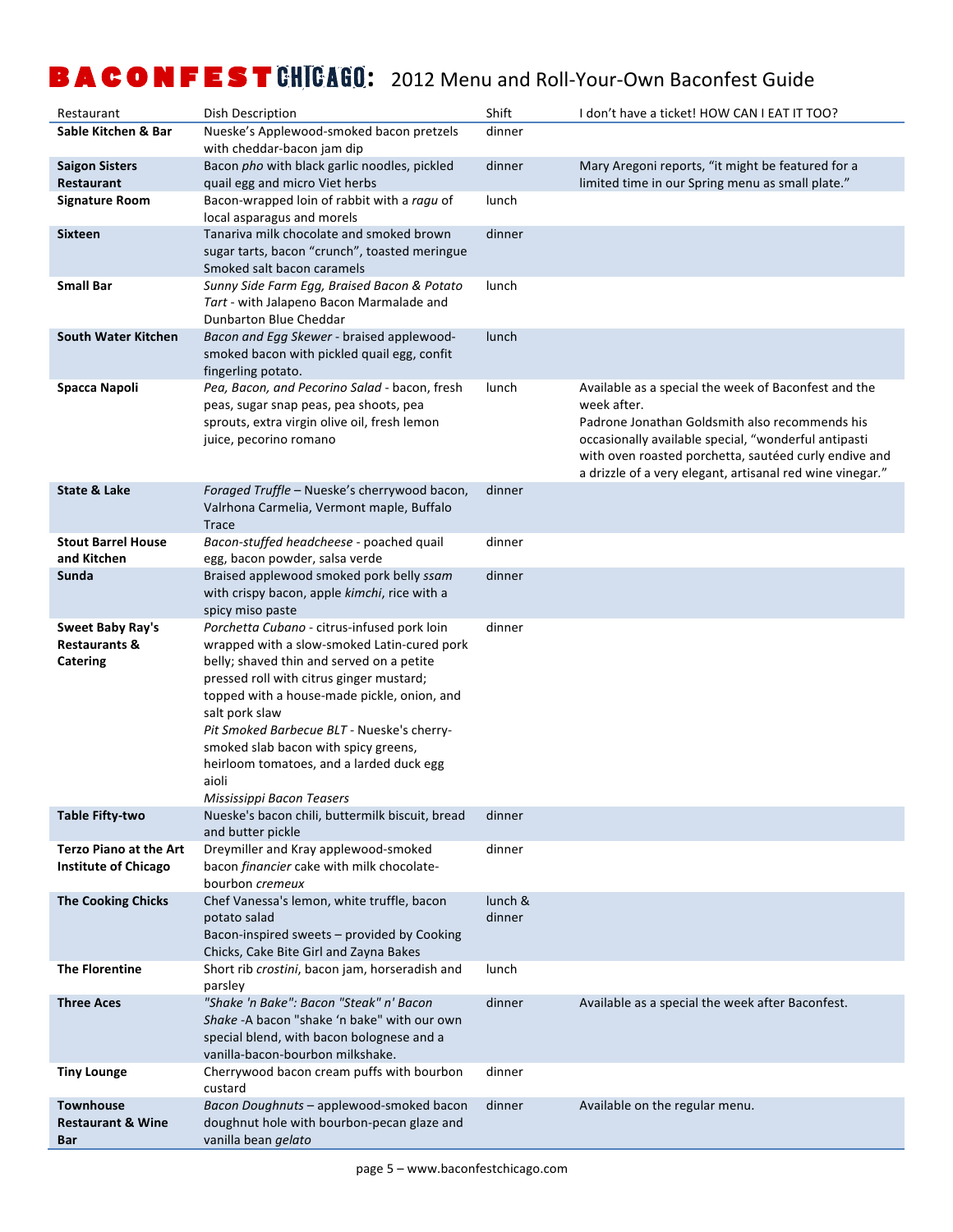| Restaurant                                                      | Dish Description                                                                                                                                                                                                                                                                                                                                                                                                             | Shift             | I don't have a ticket! HOW CAN I EAT IT TOO?                                                                                                                                                                                                                                                        |
|-----------------------------------------------------------------|------------------------------------------------------------------------------------------------------------------------------------------------------------------------------------------------------------------------------------------------------------------------------------------------------------------------------------------------------------------------------------------------------------------------------|-------------------|-----------------------------------------------------------------------------------------------------------------------------------------------------------------------------------------------------------------------------------------------------------------------------------------------------|
| Sable Kitchen & Bar                                             | Nueske's Applewood-smoked bacon pretzels<br>with cheddar-bacon jam dip                                                                                                                                                                                                                                                                                                                                                       | dinner            |                                                                                                                                                                                                                                                                                                     |
| <b>Saigon Sisters</b><br>Restaurant                             | Bacon pho with black garlic noodles, pickled<br>quail egg and micro Viet herbs                                                                                                                                                                                                                                                                                                                                               | dinner            | Mary Aregoni reports, "it might be featured for a<br>limited time in our Spring menu as small plate."                                                                                                                                                                                               |
| <b>Signature Room</b>                                           | Bacon-wrapped loin of rabbit with a ragu of<br>local asparagus and morels                                                                                                                                                                                                                                                                                                                                                    | lunch             |                                                                                                                                                                                                                                                                                                     |
| Sixteen                                                         | Tanariva milk chocolate and smoked brown<br>sugar tarts, bacon "crunch", toasted meringue<br>Smoked salt bacon caramels                                                                                                                                                                                                                                                                                                      | dinner            |                                                                                                                                                                                                                                                                                                     |
| <b>Small Bar</b>                                                | Sunny Side Farm Egg, Braised Bacon & Potato<br>Tart - with Jalapeno Bacon Marmalade and<br>Dunbarton Blue Cheddar                                                                                                                                                                                                                                                                                                            | lunch             |                                                                                                                                                                                                                                                                                                     |
| <b>South Water Kitchen</b>                                      | Bacon and Egg Skewer - braised applewood-<br>smoked bacon with pickled quail egg, confit<br>fingerling potato.                                                                                                                                                                                                                                                                                                               | lunch             |                                                                                                                                                                                                                                                                                                     |
| Spacca Napoli                                                   | Pea, Bacon, and Pecorino Salad - bacon, fresh<br>peas, sugar snap peas, pea shoots, pea<br>sprouts, extra virgin olive oil, fresh lemon<br>juice, pecorino romano                                                                                                                                                                                                                                                            | lunch             | Available as a special the week of Baconfest and the<br>week after.<br>Padrone Jonathan Goldsmith also recommends his<br>occasionally available special, "wonderful antipasti<br>with oven roasted porchetta, sautéed curly endive and<br>a drizzle of a very elegant, artisanal red wine vinegar." |
| State & Lake                                                    | Foraged Truffle - Nueske's cherrywood bacon,<br>Valrhona Carmelia, Vermont maple, Buffalo<br><b>Trace</b>                                                                                                                                                                                                                                                                                                                    | dinner            |                                                                                                                                                                                                                                                                                                     |
| <b>Stout Barrel House</b><br>and Kitchen                        | Bacon-stuffed headcheese - poached quail<br>egg, bacon powder, salsa verde                                                                                                                                                                                                                                                                                                                                                   | dinner            |                                                                                                                                                                                                                                                                                                     |
| Sunda                                                           | Braised applewood smoked pork belly ssam<br>with crispy bacon, apple kimchi, rice with a<br>spicy miso paste                                                                                                                                                                                                                                                                                                                 | dinner            |                                                                                                                                                                                                                                                                                                     |
| <b>Sweet Baby Ray's</b><br><b>Restaurants &amp;</b><br>Catering | Porchetta Cubano - citrus-infused pork loin<br>wrapped with a slow-smoked Latin-cured pork<br>belly; shaved thin and served on a petite<br>pressed roll with citrus ginger mustard;<br>topped with a house-made pickle, onion, and<br>salt pork slaw<br>Pit Smoked Barbecue BLT - Nueske's cherry-<br>smoked slab bacon with spicy greens,<br>heirloom tomatoes, and a larded duck egg<br>aioli<br>Mississippi Bacon Teasers | dinner            |                                                                                                                                                                                                                                                                                                     |
| <b>Table Fifty-two</b>                                          | Nueske's bacon chili, buttermilk biscuit, bread<br>and butter pickle                                                                                                                                                                                                                                                                                                                                                         | dinner            |                                                                                                                                                                                                                                                                                                     |
| <b>Terzo Piano at the Art</b><br><b>Institute of Chicago</b>    | Dreymiller and Kray applewood-smoked<br>bacon financier cake with milk chocolate-<br>bourbon cremeux                                                                                                                                                                                                                                                                                                                         | dinner            |                                                                                                                                                                                                                                                                                                     |
| <b>The Cooking Chicks</b>                                       | Chef Vanessa's lemon, white truffle, bacon<br>potato salad<br>Bacon-inspired sweets - provided by Cooking<br>Chicks, Cake Bite Girl and Zayna Bakes                                                                                                                                                                                                                                                                          | lunch &<br>dinner |                                                                                                                                                                                                                                                                                                     |
| <b>The Florentine</b>                                           | Short rib crostini, bacon jam, horseradish and<br>parsley                                                                                                                                                                                                                                                                                                                                                                    | lunch             |                                                                                                                                                                                                                                                                                                     |
| <b>Three Aces</b>                                               | "Shake 'n Bake": Bacon "Steak" n' Bacon<br>Shake -A bacon "shake 'n bake" with our own<br>special blend, with bacon bolognese and a<br>vanilla-bacon-bourbon milkshake.                                                                                                                                                                                                                                                      | dinner            | Available as a special the week after Baconfest.                                                                                                                                                                                                                                                    |
| <b>Tiny Lounge</b>                                              | Cherrywood bacon cream puffs with bourbon<br>custard                                                                                                                                                                                                                                                                                                                                                                         | dinner            |                                                                                                                                                                                                                                                                                                     |
| <b>Townhouse</b><br><b>Restaurant &amp; Wine</b><br>Bar         | Bacon Doughnuts - applewood-smoked bacon<br>doughnut hole with bourbon-pecan glaze and<br>vanilla bean gelato                                                                                                                                                                                                                                                                                                                | dinner            | Available on the regular menu.                                                                                                                                                                                                                                                                      |